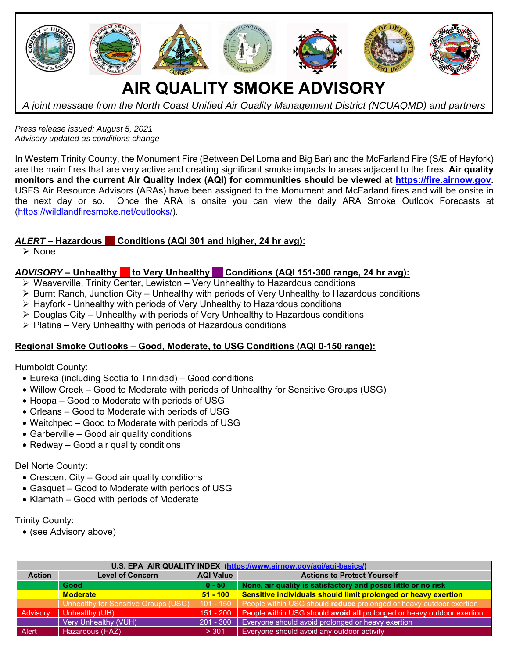

*Press release issued: August 5, 2021 Advisory updated as conditions change* 

In Western Trinity County, the Monument Fire (Between Del Loma and Big Bar) and the McFarland Fire (S/E of Hayfork) are the main fires that are very active and creating significant smoke impacts to areas adjacent to the fires. **Air quality monitors and the current Air Quality Index (AQI) for communities should be viewed at https://fire.airnow.gov.** USFS Air Resource Advisors (ARAs) have been assigned to the Monument and McFarland fires and will be onsite in the next day or so. Once the ARA is onsite you can view the daily ARA Smoke Outlook Forecasts at (https://wildlandfiresmoke.net/outlooks/).

# *ALERT* **– Hazardous Conditions (AQI 301 and higher, 24 hr avg):**

 $\triangleright$  None

# ADVISORY – Unhealthy **to Very Unhealthy Conditions (AQI 151-300 range, 24 hr avg):**

- Weaverville, Trinity Center, Lewiston Very Unhealthy to Hazardous conditions
- $\triangleright$  Burnt Ranch, Junction City Unhealthy with periods of Very Unhealthy to Hazardous conditions
- Hayfork Unhealthy with periods of Very Unhealthy to Hazardous conditions
- $\triangleright$  Douglas City Unhealthy with periods of Very Unhealthy to Hazardous conditions
- $\triangleright$  Platina Very Unhealthy with periods of Hazardous conditions

## **Regional Smoke Outlooks – Good, Moderate, to USG Conditions (AQI 0-150 range):**

Humboldt County:

- Eureka (including Scotia to Trinidad) Good conditions
- Willow Creek Good to Moderate with periods of Unhealthy for Sensitive Groups (USG)
- Hoopa Good to Moderate with periods of USG
- Orleans Good to Moderate with periods of USG
- Weitchpec Good to Moderate with periods of USG
- Garberville Good air quality conditions
- Redway Good air quality conditions

## Del Norte County:

- Crescent City Good air quality conditions
- Gasquet Good to Moderate with periods of USG
- Klamath Good with periods of Moderate

#### Trinity County:

(see Advisory above)

| U.S. EPA AIR QUALITY INDEX (https://www.airnow.gov/aqi/aqi-basics/) |                                      |                  |                                                                        |
|---------------------------------------------------------------------|--------------------------------------|------------------|------------------------------------------------------------------------|
| <b>Action</b>                                                       | <b>Level of Concern</b>              | <b>AQI Value</b> | <b>Actions to Protect Yourself</b>                                     |
|                                                                     | Good                                 | $0 - 50$         | None, air quality is satisfactory and poses little or no risk          |
|                                                                     | <b>Moderate</b>                      | $51 - 100$       | Sensitive individuals should limit prolonged or heavy exertion         |
|                                                                     | Unhealthy for Sensitive Groups (USG) | $101 - 150$      | People within USG should reduce prolonged or heavy outdoor exertion    |
| Advisory                                                            | Unhealthy (UH)                       | $151 - 200$      | People within USG should avoid all prolonged or heavy outdoor exertion |
|                                                                     | <b>Very Unhealthy (VUH)</b>          | $201 - 300$      | Everyone should avoid prolonged or heavy exertion                      |
| Alert                                                               | Hazardous (HAZ)                      | > 301            | Everyone should avoid any outdoor activity                             |